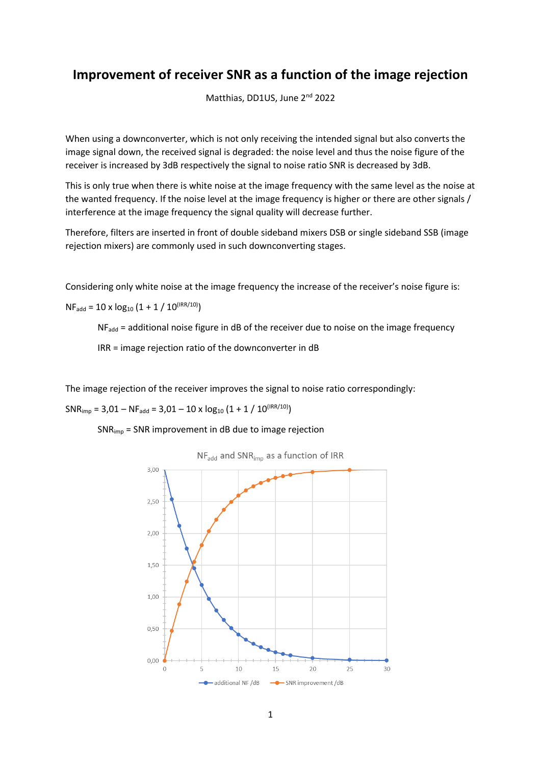## **Improvement of receiver SNR as a function of the image rejection**

Matthias, DD1US, June 2<sup>nd</sup> 2022

When using a downconverter, which is not only receiving the intended signal but also converts the image signal down, the received signal is degraded: the noise level and thus the noise figure of the receiver is increased by 3dB respectively the signal to noise ratio SNR is decreased by 3dB.

This is only true when there is white noise at the image frequency with the same level as the noise at the wanted frequency. If the noise level at the image frequency is higher or there are other signals / interference at the image frequency the signal quality will decrease further.

Therefore, filters are inserted in front of double sideband mixers DSB or single sideband SSB (image rejection mixers) are commonly used in such downconverting stages.

Considering only white noise at the image frequency the increase of the receiver's noise figure is:

 $NF_{add} = 10 \times log_{10} (1 + 1 / 10^{(IRR/10)})$ 

 $NF_{add}$  = additional noise figure in dB of the receiver due to noise on the image frequency

IRR = image rejection ratio of the downconverter in dB

The image rejection of the receiver improves the signal to noise ratio correspondingly:

 $SNR_{imp} = 3.01 - NF_{add} = 3.01 - 10 \times log_{10} (1 + 1 / 10^{(IRR/10)})$ 

SNRimp = SNR improvement in dB due to image rejection



 $NF_{add}$  and  $SNR_{imp}$  as a function of IRR